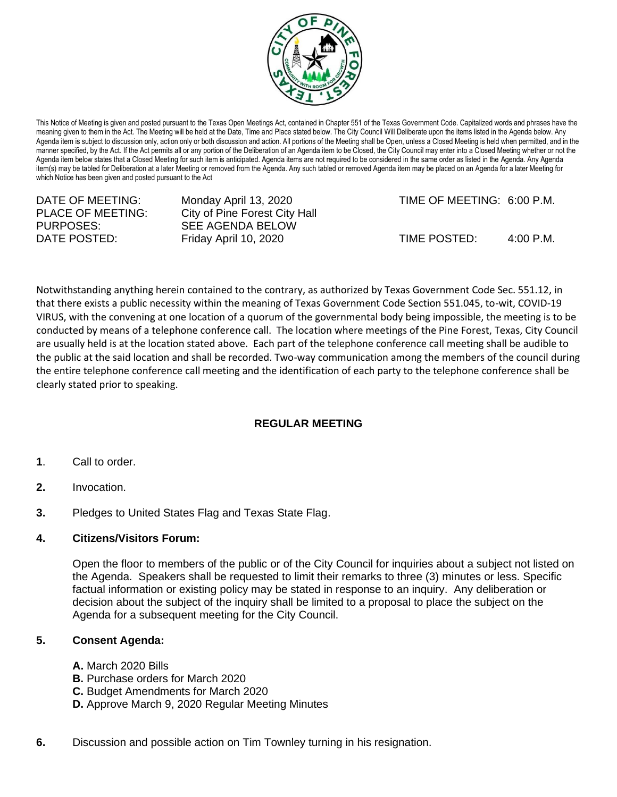

This Notice of Meeting is given and posted pursuant to the Texas Open Meetings Act, contained in Chapter 551 of the Texas Government Code. Capitalized words and phrases have the meaning given to them in the Act. The Meeting will be held at the Date, Time and Place stated below. The City Council Will Deliberate upon the items listed in the Agenda below. Any Agenda item is subject to discussion only, action only or both discussion and action. All portions of the Meeting shall be Open, unless a Closed Meeting is held when permitted, and in the manner specified, by the Act. If the Act permits all or any portion of the Deliberation of an Agenda item to be Closed, the City Council may enter into a Closed Meeting whether or not the Agenda item below states that a Closed Meeting for such item is anticipated. Agenda items are not required to be considered in the same order as listed in the Agenda. Any Agenda item(s) may be tabled for Deliberation at a later Meeting or removed from the Agenda. Any such tabled or removed Agenda item may be placed on an Agenda for a later Meeting for which Notice has been given and posted pursuant to the Act

| DATE OF MEETING:<br>PLACE OF MEETING: | Monday April 13, 2020<br>City of Pine Forest City Hall | TIME OF MEETING: 6:00 P.M. |                     |
|---------------------------------------|--------------------------------------------------------|----------------------------|---------------------|
| PURPOSES:<br>DATE POSTED:             | SEE AGENDA BELOW<br>Friday April 10, 2020              | TIME POSTED:               | $4:00 \text{ P.M.}$ |
|                                       |                                                        |                            |                     |

Notwithstanding anything herein contained to the contrary, as authorized by Texas Government Code Sec. 551.12, in that there exists a public necessity within the meaning of Texas Government Code Section 551.045, to-wit, COVID-19 VIRUS, with the convening at one location of a quorum of the governmental body being impossible, the meeting is to be conducted by means of a telephone conference call. The location where meetings of the Pine Forest, Texas, City Council are usually held is at the location stated above. Each part of the telephone conference call meeting shall be audible to the public at the said location and shall be recorded. Two-way communication among the members of the council during the entire telephone conference call meeting and the identification of each party to the telephone conference shall be clearly stated prior to speaking.

## **REGULAR MEETING**

- **1**. Call to order.
- **2.** Invocation.
- **3.** Pledges to United States Flag and Texas State Flag.

## **4. Citizens/Visitors Forum:**

Open the floor to members of the public or of the City Council for inquiries about a subject not listed on the Agenda. Speakers shall be requested to limit their remarks to three (3) minutes or less. Specific factual information or existing policy may be stated in response to an inquiry. Any deliberation or decision about the subject of the inquiry shall be limited to a proposal to place the subject on the Agenda for a subsequent meeting for the City Council.

## **5. Consent Agenda:**

- **A.** March 2020 Bills
- **B.** Purchase orders for March 2020
- **C.** Budget Amendments for March 2020
- **D.** Approve March 9, 2020 Regular Meeting Minutes
- **6.** Discussion and possible action on Tim Townley turning in his resignation.